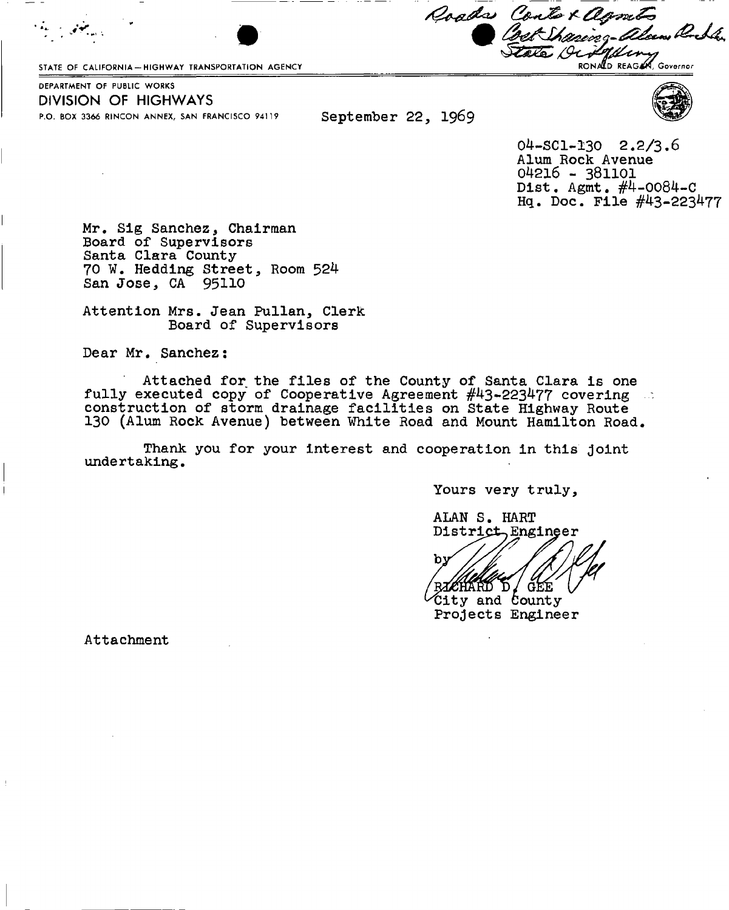Roads Contox agents ming-alam Ruda The October Reaches, Governor

STATE OF CALIFORNIA-HIGHWAY TRANSPORTATION AGENCY

DEPARTMENT OF PUBLIC WORKS P.O. BOX 3366 RINCON ANNEX, SAN FRANCISCO 94119 **September 22, 1969 DIVISION OF HIGHWAYS** 

 $\bullet$ 

**04-SC1-130 2.2/3.6 Alum Rock Avenue**  04216 - 381101 **Dist. Agmt. #4-0084-C Hq. Doc. File #43-223^77** 

**Mr. Slg Sanchez, Chairman Board of Supervisors Santa Clara County 70 W. Heddlng Street, Room 524 San Jose, CA 95110** 

**Attention Mrs. Jean Pullan, Clerk Board of Supervisors** 

**Dear Mr. Sanchez:** 

**Attached for the files of the County of Santa Clara is one fully executed copy of Cooperative Agreement #43-223477 covering construction of storm drainage facilities on State Highway Route 130 (Alum Rock Avenue) between White Road and Mount Hamilton Road.** 

**Thank you for your interest and cooperation in this joint undertaking.** 

**Yours very truly** 

**ALAN S. HART District-, Engineer** 

**R35BHAKD D / GEE (/** 

**City and County Projects Engineer** 

**Attachment**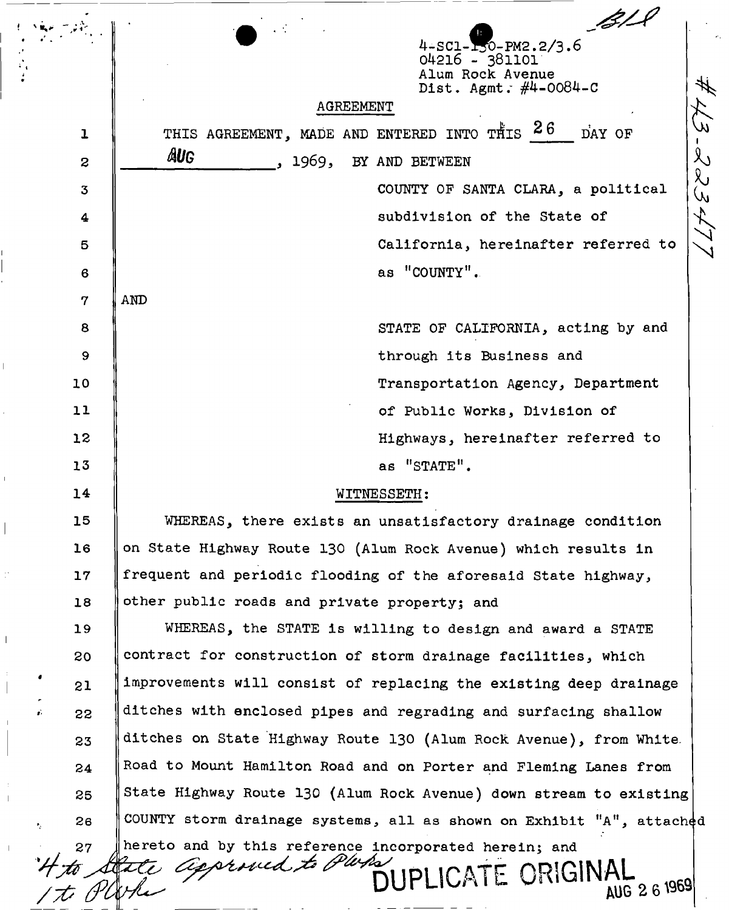|                  | $4-SCL - 150 - PM2.2/3.6$<br>04216 - 381101                          |  |
|------------------|----------------------------------------------------------------------|--|
|                  | Alum Rock Avenue<br>Dist. Agmt. $\#4 - 0084 - C$                     |  |
|                  | <b>AGREEMENT</b>                                                     |  |
| ı                | ر<br>سا<br>THIS AGREEMENT, MADE AND ENTERED INTO THIS 26<br>DAY OF   |  |
| $\boldsymbol{z}$ | $\chi$<br>AUG<br>, 1969, BY AND BETWEEN                              |  |
| $\mathbf 3$      | بلإ<br>COUNTY OF SANTA CLARA, a political<br>$\omega$                |  |
| $\boldsymbol{4}$ | subdivision of the State of                                          |  |
| 5                | California, hereinafter referred to                                  |  |
| 6                | as "COUNTY".                                                         |  |
| $\boldsymbol{7}$ | AND                                                                  |  |
| 8                | STATE OF CALIFORNIA, acting by and                                   |  |
| 9                | through its Business and                                             |  |
| 10               | Transportation Agency, Department                                    |  |
| 11               | of Public Works, Division of                                         |  |
| 12               | Highways, hereinafter referred to                                    |  |
| 13               | as "STATE".                                                          |  |
| 14               | WITNESSETH:                                                          |  |
| 15               | WHEREAS, there exists an unsatisfactory drainage condition           |  |
| 16               | on State Highway Route 130 (Alum Rock Avenue) which results in       |  |
| 17               | frequent and periodic flooding of the aforesaid State highway,       |  |
| 18               | other public roads and private property; and                         |  |
| 19               | WHEREAS, the STATE is willing to design and award a STATE            |  |
| 20               | contract for construction of storm drainage facilities, which        |  |
| ٠<br>21          | improvements will consist of replacing the existing deep drainage    |  |
| 22<br>ò.         | ditches with enclosed pipes and regrading and surfacing shallow      |  |
| 23               | ditches on State Highway Route 130 (Alum Rock Avenue), from White    |  |
| 24               | Road to Mount Hamilton Road and on Porter and Fleming Lanes from     |  |
| 25               | State Highway Route 130 (Alum Rock Avenue) down stream to existing   |  |
| 26<br>6          | COUNTY storm drainage systems, all as shown on Exhibit "A", attached |  |
|                  | hereto and by this reference incorporated herein; and                |  |
|                  | 4 to State approved to Plus<br>DUPLICATE ORIGINAL                    |  |
|                  | AUG 2 6 1969                                                         |  |

 $\pmb{t}$ 

 $\begin{array}{c} \hline \end{array}$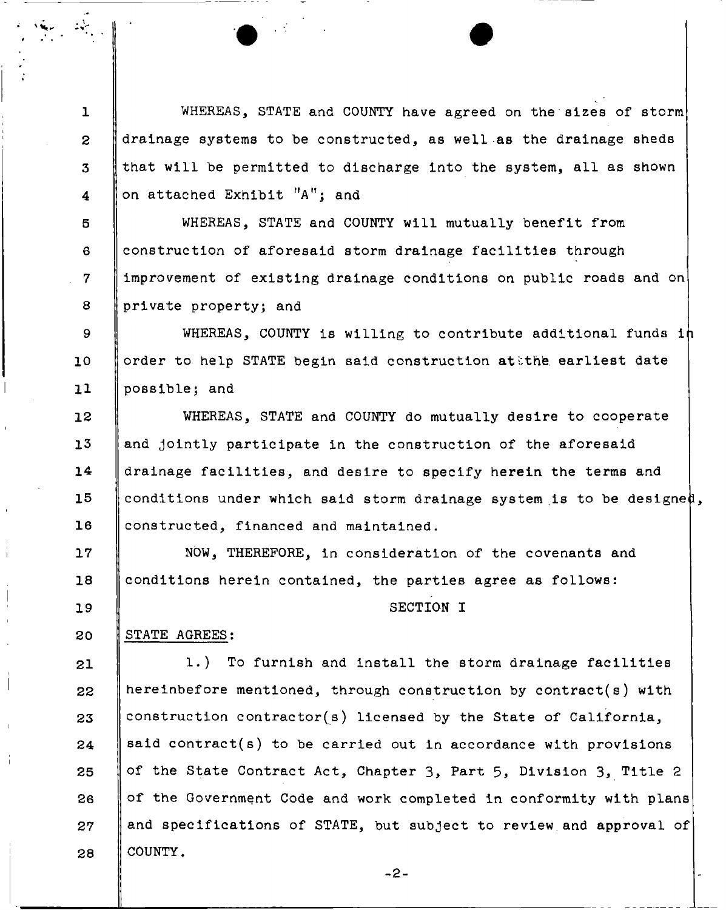WHEREAS, STATE and COUNTY have agreed on the sizes of storm drainage systems to be constructed, as well as the drainage sheds that will be permitted to discharge into the system, all as shown on attached Exhibit "A"; and

WHEREAS, STATE and COUNTY will mutually benefit from construction of aforesaid storm drainage facilities through improvement of existing drainage conditions on public roads and on private property; and

9 **10 11**  WHEREAS, COUNTY is willing to contribute additional funds in order to help STATE begin said construction attthe earliest date possible; and

**12**  13 14 15 **16**  WHEREAS, STATE and COUNTY do mutually desire to cooperate and jointly participate in the construction of the aforesaid drainage facilities, and desire to specify herein the terms and conditions under which said storm drainage system is to be designed, constructed, financed and maintained.

17 **18**  NOW, THEREFORE, in consideration of the covenants and conditions herein contained, the parties agree as follows:

SECTION I

## STATE AGREES:

**1** 

*2* 

3

4

5

**6** 

7

**8** 

19

**20** 

**21 22**  23 24 25 **26**  27 28 1.) To furnish and install the storm drainage facilities hereinbefore mentioned, through construction by contract(s) with construction contractor(s) licensed by the State of California, said contract(s) to be carried out in accordance with provisions of the State Contract Act, Chapter 3, Part 5, Division 3, Title 2 of the Government Code and work completed in conformity with plans and specifications of STATE, but subject to review and approval of COUNTY.

-2-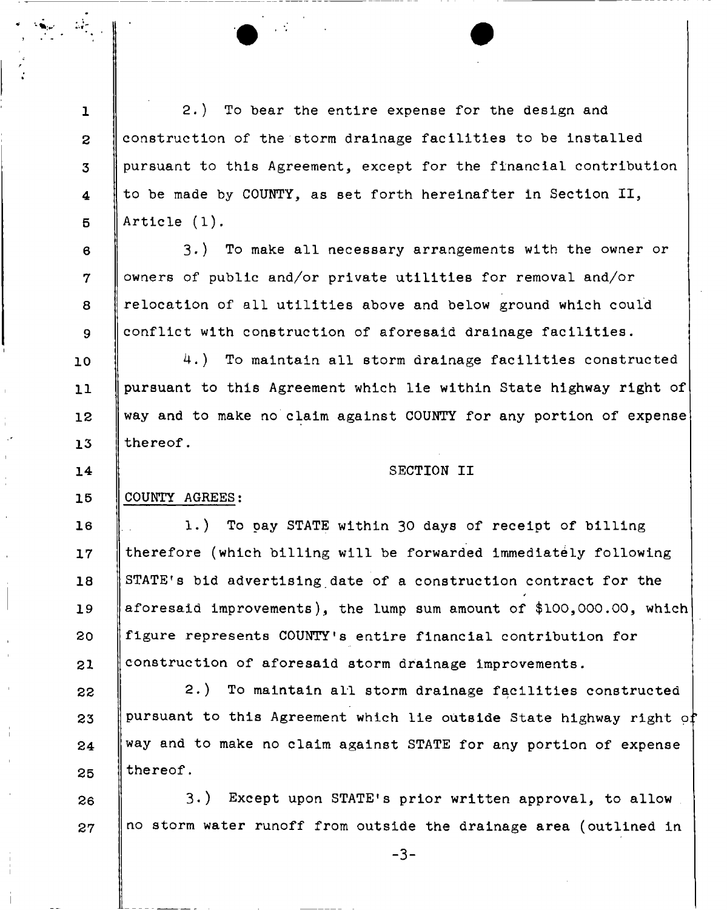**2.) To bear the entire expense for the design and construction of the storm drainage facilities to be installed pursuant to this Agreement, except for the financial contribution to be made by COUNTY, as set forth hereinafter in Section II, Article (1).** 

6 7 **8**  9 **3.) To make all necessary arrangements with the owner or owners of public and/or private utilities for removal and/or relocation of all utilities above and below ground which could conflict with construction of aforesaid drainage facilities.** 

**10 11 12**  13 **4.) To maintain all storm drainage facilities constructed pursuant to this Agreement which lie within State highway right of way and to make no claim against COUNTY for any portion of expense thereof.** 

**SECTION II** 

## 15 **COUNTY AGREES:**

**1** 

**2** 

3

4

5

14

**16**  17 **18**  19 **20 21 1.) To pay STATE within 30 days of receipt of billing therefore (which billing will be forwarded immediately following STATE<sup>T</sup> s bid advertising date of a construction contract for the aforesaid improvements), the lump sum amount of \$100,000.00, which figure represents COUNTY'S entire financial contribution for construction of aforesaid storm drainage improvements.** 

**22**  23 24 25 **2.) To maintain all storm drainage facilities constructed**  pursuant to this Agreement which lie outside State highway right of **way and to make no claim against STATE for any portion of expense thereof.** 

26 27 **3.) Except upon STATE'S prior written approval, to allow no storm water runoff from outside the drainage area (outlined in** 

-3-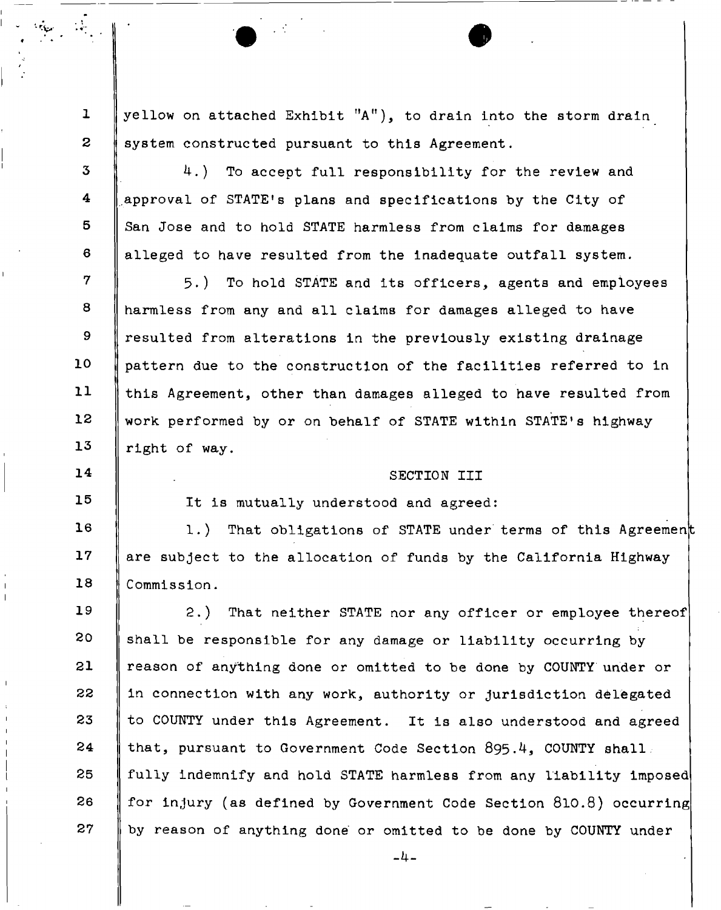**yellow on attached Exhibit "A"), to drain into the storm drain system constructed pursuant to this Agreement.** 

> V"

**1** 

**2** 

3

4

5

**6** 

14

15

**4.) To accept full responsibility for the review and approval of STATE<sup>1</sup>s plans and specifications by the City of San Jose and to hold STATE harmless from claims for damages alleged to have resulted from the inadequate outfall system.** 

7 **8**  9 **10 11 12**  13 **5.) To hold STATE and its officers, agents and employees harmless from any and all claims for damages alleged to have resulted from alterations in the previously existing drainage pattern due to the construction of the facilities referred to in this Agreement, other than damages alleged to have resulted from work performed by or on behalf of STATE within STATE'S highway right of way.** 

## **SECTION III**

**It is mutually understood and agreed:** 

**16**  17 **18**  1.) That obligations of STATE under terms of this Agreement **are subject to the allocation of funds by the California Highway Commission.** 

19 **20 21 22**  23 24 25 26 27 2.) That neither STATE nor any officer or employee thereof **shall be responsible for any damage or liability occurring by reason of anything done or omitted to be done by COUNTY under or in connection with any work, authority or jurisdiction delegated to COUNTY under this Agreement. It is also understood and agreed that, pursuant to Government Code Section 895.4, COUNTY shall fully indemnify and hold STATE harmless from any liability imposed for injury (as defined by Government Code Section 810.8) occurring by reason of anything done or omitted to be done by COUNTY under** 

-4-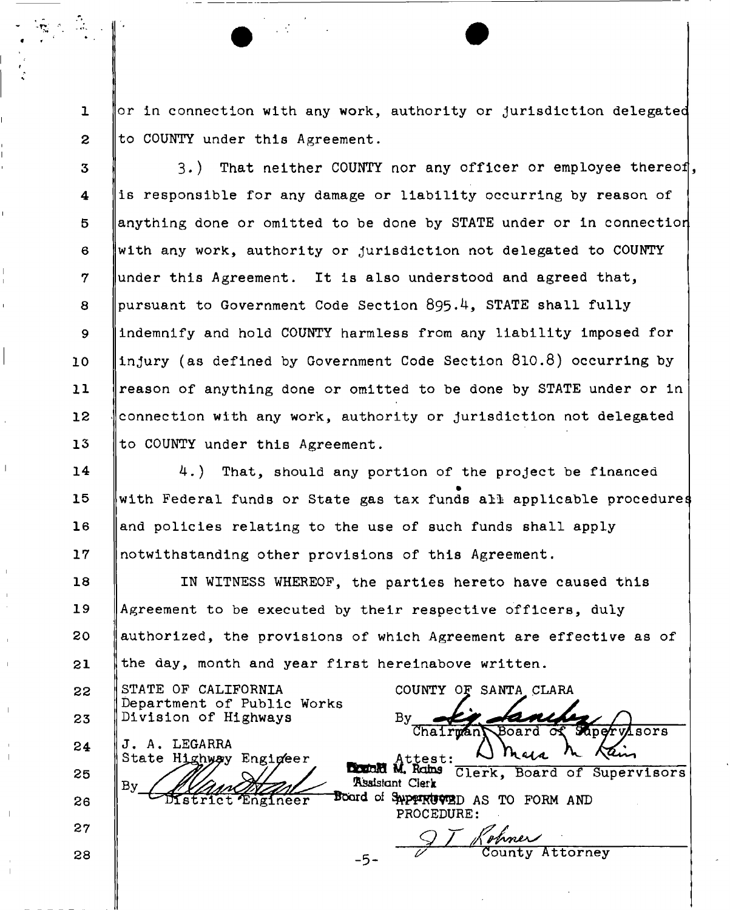**1 2 or in connection with any work, authority or jurisdiction delegated to COUNTY under this Agreement.** 

3 4 5 **6**  7 **8**  9 **10 11 12**  13 **3.) That neither COUNTY nor any officer or employee thereof is responsible for any damage or liability occurring by reason of anything done or omitted to be done by STATE under or in connection with any work, authority or Jurisdiction not delegated to COUNTY under this Agreement. It is also understood and agreed that, pursuant to Government Code Section 895.^, STATE shall fully indemnify and hold COUNTY harmless from any liability imposed for injury (as defined by Government Code Section 810.8) occurring by reason of anything done or omitted to be done by STATE under or in connection with any work, authority or jurisdiction not delegated to COUNTY under this Agreement.** 

14 15 **16**  17 **4.) That, should any portion of the project be financed with Federal funds or State gas tax funds all applicable procedures; and policies relating to the use of such funds shall apply notwithstanding other provisions of this Agreement.** 

**18**  19 **20 21 IN WITNESS WHEREOF, the parties hereto have caused this Agreement to be executed by their respective officers, duly authorized, the provisions of which Agreement are effective as of the day, month and year first hereinabove written.** 

Assistant Clerk

**22**  23 STATE OF CALIFORNIA **COUNTY OF SANTA CLARA Department of Public Works Division of Highways By** 

State Highway Engineer

District Engineer

Chairman Board of Supervisors J. A. LEGARRA<br>State Highway Engigeer attest. (I **h**ega h *Ken* 

**TEGER M. Roms** Clerk, Board of Supervisors

24 25

 $\frac{1}{N}$  and  $\frac{1}{N}$ 

26

27

By

**28** 

**PROCEDURE: \_ 7/ County Attorney** 

Board of Super Rever AS TO FORM AND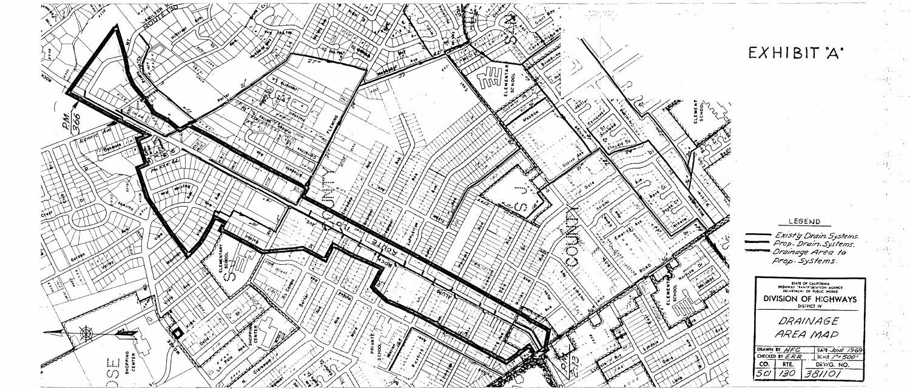

## EXHIBIT "A"

LEGEND

- Exist'g Drain Systems.<br>- Prop. Drain Systems.<br>- Drainage Area to<br>- Prop. Systems.

| <b>HIGHWAY TRANSPORTATION AGENCY</b><br>DEFARTMEN! OF PUBLIC WORKS<br>DIVISION OF HIGHWAYS<br><b>DISTRICT IV</b> |
|------------------------------------------------------------------------------------------------------------------|
| DRAINAGE                                                                                                         |
| AREA MAP                                                                                                         |
| DATE JUNE 1969                                                                                                   |
|                                                                                                                  |

|     | DRAWN BY <i>HFC</i> | DATE JUNE 1969 |
|-----|---------------------|----------------|
|     | CHECKED BY $ERR$    | SCALE $145001$ |
| CO. | RTE.                | DRWG. NO.      |
| SC  | 130                 | 381101         |

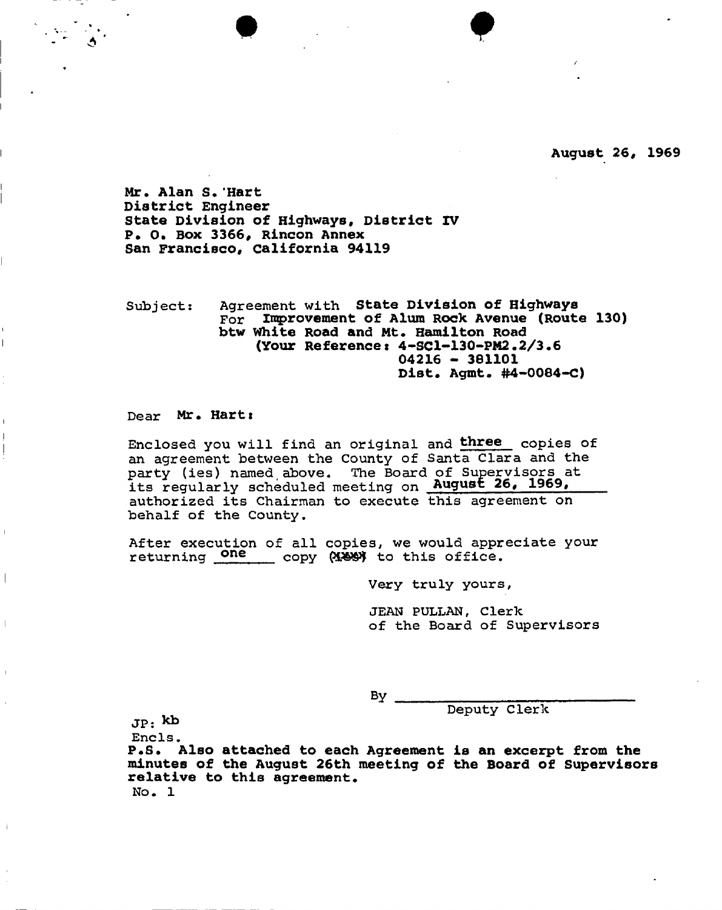**August 26, 1969** 

**Mr. Alan S. Hart District Engineer State Division of Highways, District IV P. 0. Box 3366, Rincon Annex San Francisco, California 94119** 

Subject: Agreement with **State Division of Highways**  For **nqprovement of Alum Rock Avenue (Route 130) btw white Road and Mt. Hamilton Road (Your References 4-SC1-130-PM2.2/3.6 04216 - 361101 Dist. Agmt. #4-0084-0)** 

Dear **Mr. Harts** 

Enclosed you will find an original and three copies of an agreement between the County of Santa Clara and the party (ies) named above. The Board of Supervisors at its regularly scheduled meeting on **August 26, 1969,**  authorized its Chairman to execute this agreement on behalf of the County.

After execution of all copies, we would appreciate your returning **One** copy (1884 to this office.

Very truly yours,

JEAN PULLAN, Clerk of the Board of Supervisors

 $By -$ 

Deputy Clerk

 $JP$ :  $kb$ 

Encls. **P.S • Also attached to each Agreement is an excerpt from the minutes of the August 26th meeting of the Board of Supervisors relative to this agreement.**  No. 1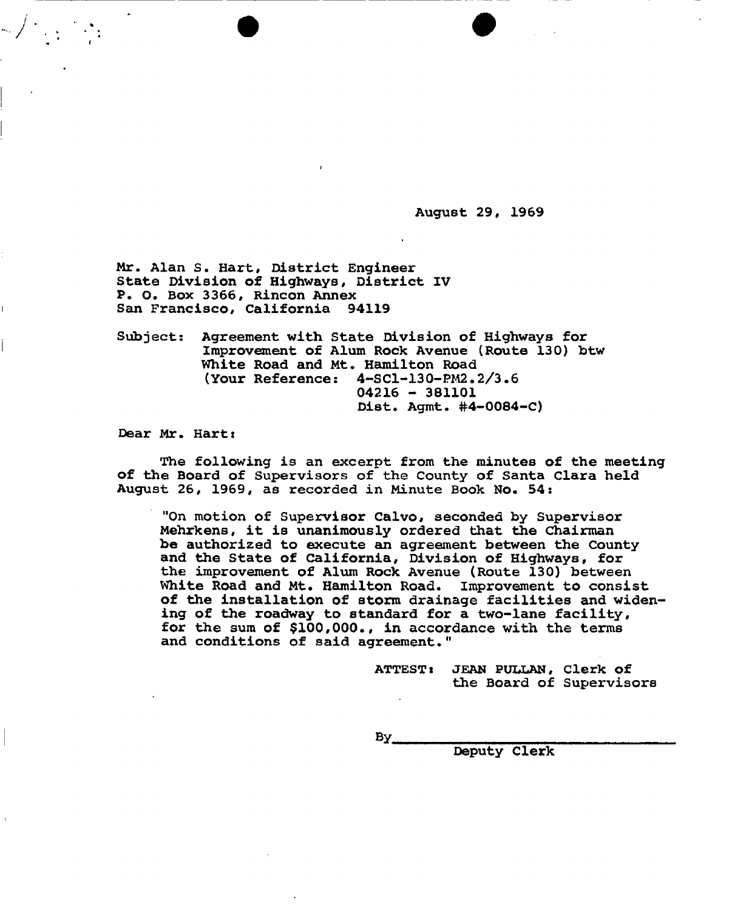**August 29, 1969** 

**Mr. Alan S. Hart, District Engineer State Division of Highways, District IV P. 0. Box 3366, Rincon Annex San Francisco, California 94119** 

**Subject: Agreement with State Division of Highways for Improvement of Alum Rock Avenue (Route 130) btw White Road and Mt. Hamilton Road (Your Reference: 4-SC1-130-PM2.2/3.6 04216 - 381101 Dist. Agmt. #4-0084-C)** 

**Dear Mr. Hart:** 

**The following is an excerpt from the minutes of the meeting of the Board of Supervisors of the County of Santa Clara held August 26, 1969, as recorded in Minute Book No. 54:** 

**"On motion of Supervisor Calvo, seconded by Supervisor Mehrkens, it is unanimously ordered that the Chairman be authorized to execute an agreement between the County and the State of California, Division of Highways, for the improvement of Alum Rock Avenue (Route 130) between White Road and Mt. Hamilton Road. Improvement to consist of the installation of storm drainage facilities and widening of the roadway to standard for a two-lane facility, for the sum of \$100,000., in accordance with the terms and conditions of said agreement."** 

> **ATTEST** *t* **JEAN PULLAN, Clerk of the Board of Supervisors**

**By.** 

**Deputy Clerk**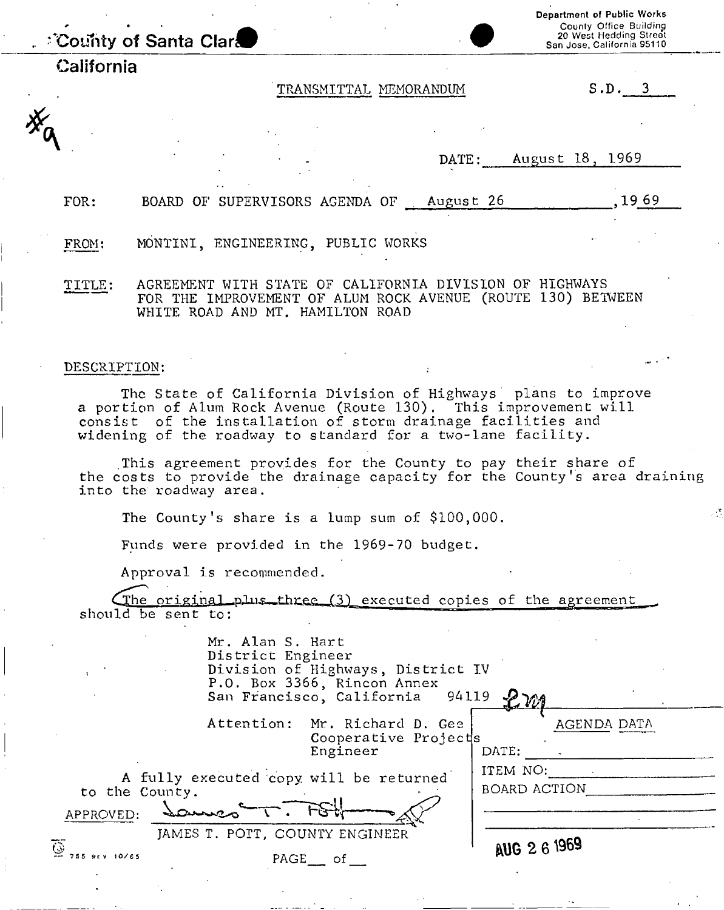| California    | TRANSMITTAL MEMORANDUM                                                                                                                                                                                                                                             | S.D. 3                   |
|---------------|--------------------------------------------------------------------------------------------------------------------------------------------------------------------------------------------------------------------------------------------------------------------|--------------------------|
|               |                                                                                                                                                                                                                                                                    |                          |
|               |                                                                                                                                                                                                                                                                    |                          |
|               |                                                                                                                                                                                                                                                                    |                          |
|               |                                                                                                                                                                                                                                                                    |                          |
|               |                                                                                                                                                                                                                                                                    | August 18, 1969<br>DATE: |
|               |                                                                                                                                                                                                                                                                    |                          |
| FOR:          | BOARD OF SUPERVISORS AGENDA OF August 26                                                                                                                                                                                                                           | 1969                     |
|               |                                                                                                                                                                                                                                                                    |                          |
| FROM:         | MONTINI, ENGINEERING, PUBLIC WORKS                                                                                                                                                                                                                                 |                          |
| TITLE:        | AGREEMENT WITH STATE OF CALIFORNIA DIVISION OF HIGHWAYS<br>FOR THE IMPROVEMENT OF ALUM ROCK AVENUE (ROUTE 130) BETWEEN<br>WHITE ROAD AND MT. HAMILTON ROAD                                                                                                         |                          |
|               |                                                                                                                                                                                                                                                                    |                          |
| DESCRIPTION:  |                                                                                                                                                                                                                                                                    |                          |
|               | The State of California Division of Highways' plans to improve<br>a portion of Alum Rock Avenue (Route 130). This improvement will<br>consist of the installation of storm drainage facilities and<br>widening of the roadway to standard for a two-lane facility. |                          |
|               | This agreement provides for the County to pay their share of<br>the costs to provide the drainage capacity for the County's area draining<br>into the roadway area.                                                                                                |                          |
|               | The County's share is a lump sum of \$100,000.                                                                                                                                                                                                                     |                          |
|               | Funds were provided in the 1969-70 budget.                                                                                                                                                                                                                         |                          |
|               | Approval is recommended.                                                                                                                                                                                                                                           |                          |
|               |                                                                                                                                                                                                                                                                    |                          |
|               | (The original plus three (3) executed copies of the agreement<br>should be sent to:                                                                                                                                                                                |                          |
|               | Mr. Alan S. Hart<br>District Engineer<br>Division of Highways, District IV<br>P.O. Box 3366, Rincon Annex<br>San Francisco, California                                                                                                                             | 94119                    |
|               | Attention: Mr. Richard D. Gee<br>Cooperative Projects<br>Engineer                                                                                                                                                                                                  | AGENDA DATA<br>DATE:     |
|               | A fully executed copy will be returned<br>to the County.                                                                                                                                                                                                           | ITEM NO:<br>BOARD ACTION |
| APPROVED:     | Samo                                                                                                                                                                                                                                                               |                          |
| $\mathbb{Q}$  | JAMES T. POTT, COUNTY ENGINEER                                                                                                                                                                                                                                     | AUG 2 6 1969             |
| 755 REV 10/65 | $PAGE$ of                                                                                                                                                                                                                                                          |                          |

 $\frac{1}{2}$ 

 $\frac{\pi}{2}$ 

 $\frac{1}{2} \sum_{i=1}^n \frac{1}{2} \sum_{j=1}^n \frac{1}{2} \sum_{j=1}^n \frac{1}{2} \sum_{j=1}^n \frac{1}{2} \sum_{j=1}^n \frac{1}{2} \sum_{j=1}^n \frac{1}{2} \sum_{j=1}^n \frac{1}{2} \sum_{j=1}^n \frac{1}{2} \sum_{j=1}^n \frac{1}{2} \sum_{j=1}^n \frac{1}{2} \sum_{j=1}^n \frac{1}{2} \sum_{j=1}^n \frac{1}{2} \sum_{j=1}^n \frac{1}{2} \sum_{j=$